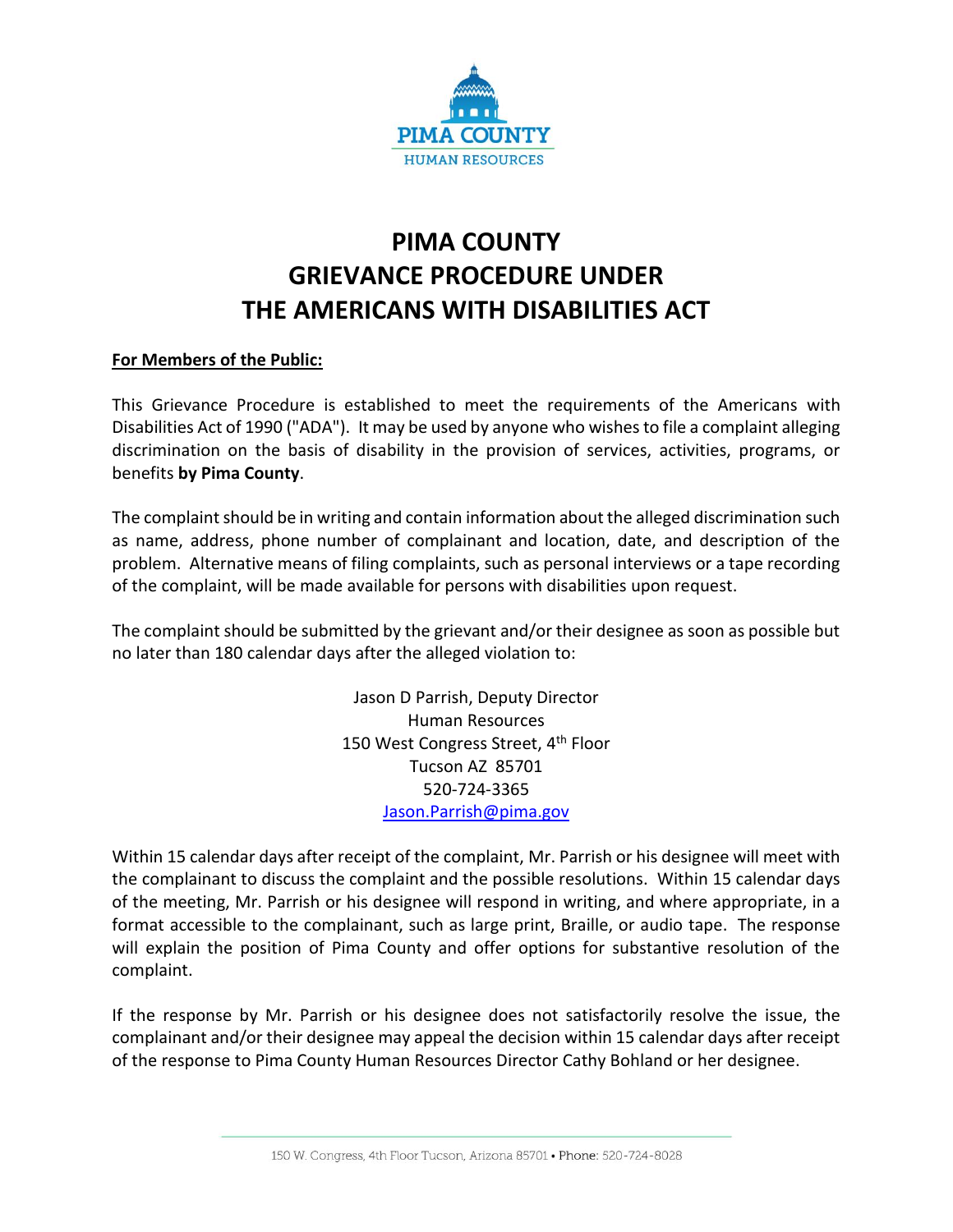

## **PIMA COUNTY GRIEVANCE PROCEDURE UNDER THE AMERICANS WITH DISABILITIES ACT**

## **For Members of the Public:**

This Grievance Procedure is established to meet the requirements of the Americans with Disabilities Act of 1990 ("ADA"). It may be used by anyone who wishes to file a complaint alleging discrimination on the basis of disability in the provision of services, activities, programs, or benefits **by Pima County**.

The complaint should be in writing and contain information about the alleged discrimination such as name, address, phone number of complainant and location, date, and description of the problem. Alternative means of filing complaints, such as personal interviews or a tape recording of the complaint, will be made available for persons with disabilities upon request.

The complaint should be submitted by the grievant and/or their designee as soon as possible but no later than 180 calendar days after the alleged violation to:

> Jason D Parrish, Deputy Director Human Resources 150 West Congress Street, 4<sup>th</sup> Floor Tucson AZ 85701 520-724-3365 [Jason.Parrish@pima.gov](mailto:Jason.Parrish@pima.gov)

Within 15 calendar days after receipt of the complaint, Mr. Parrish or his designee will meet with the complainant to discuss the complaint and the possible resolutions. Within 15 calendar days of the meeting, Mr. Parrish or his designee will respond in writing, and where appropriate, in a format accessible to the complainant, such as large print, Braille, or audio tape. The response will explain the position of Pima County and offer options for substantive resolution of the complaint.

If the response by Mr. Parrish or his designee does not satisfactorily resolve the issue, the complainant and/or their designee may appeal the decision within 15 calendar days after receipt of the response to Pima County Human Resources Director Cathy Bohland or her designee.